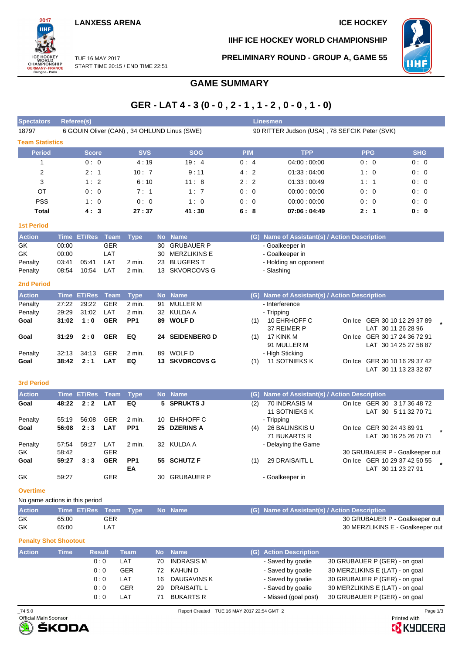**LANXESS ARENA ICE HOCKEY** 

2017 iщ

WORLD<br>CHAMPIONSHIP<br>GERMANY-FRANCE<br>Cologne-Paris

**IIHF ICE HOCKEY WORLD CHAMPIONSHIP**



TUE 16 MAY 2017 START TIME 20:15 / END TIME 22:51 **PRELIMINARY ROUND - GROUP A, GAME 55**

# **GAME SUMMARY**

# **GER - LAT 4 - 3 (0 - 0 , 2 - 1 , 1 - 2 , 0 - 0 , 1 - 0)**

| <b>Spectators</b>              |                | Referee(s)         |                   |                           |    |                                             |            |     | <b>Linesmen</b>                               |                                                       |            |  |
|--------------------------------|----------------|--------------------|-------------------|---------------------------|----|---------------------------------------------|------------|-----|-----------------------------------------------|-------------------------------------------------------|------------|--|
| 18797                          |                |                    |                   |                           |    | 6 GOUIN Oliver (CAN), 34 OHLUND Linus (SWE) |            |     | 90 RITTER Judson (USA), 78 SEFCIK Peter (SVK) |                                                       |            |  |
| <b>Team Statistics</b>         |                |                    |                   |                           |    |                                             |            |     |                                               |                                                       |            |  |
| Period                         |                | Score              |                   | <b>SVS</b>                |    | <b>SOG</b>                                  | <b>PIM</b> |     | <b>TPP</b>                                    | <b>PPG</b>                                            | <b>SHG</b> |  |
| 1                              |                | 0: 0               |                   | 4:19                      |    | 19:4                                        | 0:4        |     | 04:00:00:00                                   | 0:0                                                   | 0:0        |  |
| 2                              |                | 2:1                |                   | 10:7                      |    | 9:11                                        | 4:2        |     | 01:33:04:00                                   | 1:0                                                   | 0:0        |  |
| 3                              |                | 1:2                |                   | 6:10                      |    | 11:8                                        | 2:2        |     | 01:33:00:49                                   | 1:1                                                   | 0:0        |  |
| ОT                             |                | 0:0                |                   | 7:1                       |    | 1:7                                         | 0:0        |     | 00:00:00:00                                   | 0:0                                                   | 0:0        |  |
| <b>PSS</b>                     |                | 1:0                |                   | 0:0                       |    | 1:0                                         | 0:0        |     | 00:00:00:00                                   | 0:0                                                   | 0:0        |  |
| Total                          |                | 4:3                |                   | 27:37                     |    | 41:30                                       | 6:8        |     | 07:06:04:49                                   | 2:1                                                   | 0: 0       |  |
| <b>1st Period</b>              |                |                    |                   |                           |    |                                             |            |     |                                               |                                                       |            |  |
| <b>Action</b>                  |                | Time ET/Res Team   |                   | <b>Type</b>               |    | No Name                                     |            |     | (G) Name of Assistant(s) / Action Description |                                                       |            |  |
| GK                             | 00:00          |                    | <b>GER</b>        |                           | 30 | <b>GRUBAUER P</b>                           |            |     | - Goalkeeper in                               |                                                       |            |  |
| GK                             | 00:00          |                    | LAT               |                           | 30 | <b>MERZLIKINS E</b>                         |            |     | - Goalkeeper in                               |                                                       |            |  |
| Penalty                        | 03:41          | 05:41              | LAT               | 2 min.                    | 23 | <b>BLUGERS T</b>                            |            |     | - Holding an opponent                         |                                                       |            |  |
| Penalty                        | 08:54          | 10:54              | LAT               | 2 min.                    |    | 13 SKVORCOVS G                              |            |     | - Slashing                                    |                                                       |            |  |
| <b>2nd Period</b>              |                |                    |                   |                           |    |                                             |            |     |                                               |                                                       |            |  |
| <b>Action</b>                  | <b>Time</b>    | <b>ET/Res</b>      | <b>Team</b>       | <b>Type</b>               |    | No Name                                     |            |     | (G) Name of Assistant(s) / Action Description |                                                       |            |  |
| Penalty                        | 27:22          | 29:22              | <b>GER</b>        | 2 min.                    | 91 | <b>MULLER M</b>                             |            |     | - Interference                                |                                                       |            |  |
| Penalty<br>Goal                | 29:29<br>31:02 | 31:02<br>1:0       | LAT<br><b>GER</b> | 2 min.<br>PP <sub>1</sub> | 89 | 32 KULDA A<br><b>WOLF D</b>                 |            |     | - Tripping<br>10 EHRHOFF C                    | On Ice GER 30 10 12 29 37 89                          |            |  |
|                                |                |                    |                   |                           |    |                                             |            | (1) | 37 REIMER P                                   | LAT 30 11 26 28 96                                    |            |  |
| Goal                           | 31:29          | 2:0                | <b>GER</b>        | EQ                        | 24 | <b>SEIDENBERG D</b>                         |            | (1) | 17 KINK M                                     | On Ice GER 30 17 24 36 72 91                          |            |  |
|                                |                |                    |                   |                           |    |                                             |            |     | 91 MULLER M                                   | LAT 30 14 25 27 58 87                                 |            |  |
| Penalty                        | 32:13          | 34:13              | <b>GER</b>        | 2 min.                    | 89 | WOLF D                                      |            |     | - High Sticking                               |                                                       |            |  |
| Goal                           | 38:42          | 2:1                | <b>LAT</b>        | EQ                        |    | <b>13 SKVORCOVS G</b>                       |            | (1) | 11 SOTNIEKS K                                 | On Ice GER 30 10 16 29 37 42<br>LAT 30 11 13 23 32 87 |            |  |
|                                |                |                    |                   |                           |    |                                             |            |     |                                               |                                                       |            |  |
| <b>3rd Period</b>              |                |                    |                   |                           |    |                                             |            |     |                                               |                                                       |            |  |
| <b>Action</b>                  |                | <b>Time ET/Res</b> | <b>Team</b>       | <b>Type</b>               |    | No Name                                     |            | (G) | Name of Assistant(s) / Action Description     |                                                       |            |  |
| Goal                           | 48:22          | 2:2                | <b>LAT</b>        | EQ                        | 5  | <b>SPRUKTS J</b>                            |            | (2) | 70 INDRASIS M                                 | On Ice GER 30 3 17 36 48 72                           |            |  |
| Penalty                        | 55:19          | 56:08              | <b>GER</b>        | 2 min.                    |    | 10 EHRHOFF C                                |            |     | <b>11 SOTNIEKS K</b><br>- Tripping            | LAT 30 5 11 32 70 71                                  |            |  |
| Goal                           | 56:08          | 2:3                | <b>LAT</b>        | PP <sub>1</sub>           |    | 25 DZERINS A                                |            | (4) | 26 BALINSKIS U                                | On Ice GER 30 24 43 89 91                             |            |  |
|                                |                |                    |                   |                           |    |                                             |            |     | 71 BUKARTS R                                  | LAT 30 16 25 26 70 71                                 |            |  |
| Penalty                        | 57:54          | 59:27              | LAT               | 2 min.                    |    | 32 KULDA A                                  |            |     | - Delaying the Game                           |                                                       |            |  |
| GK                             | 58:42          |                    | <b>GER</b>        |                           |    |                                             |            |     |                                               | 30 GRUBAUER P - Goalkeeper out                        |            |  |
| Goal                           | 59:27          | 3:3                | <b>GER</b>        | PP <sub>1</sub><br>EA     |    | 55 SCHUTZ F                                 |            | (1) | 29 DRAISAITL L                                | On Ice GER 10 29 37 42 50 55<br>LAT 30 11 23 27 91    |            |  |
| GK                             | 59:27          |                    | GER               |                           |    | 30 GRUBAUER P                               |            |     | - Goalkeeper in                               |                                                       |            |  |
| <b>Overtime</b>                |                |                    |                   |                           |    |                                             |            |     |                                               |                                                       |            |  |
| No game actions in this period |                |                    |                   |                           |    |                                             |            |     |                                               |                                                       |            |  |
| <b>Action</b>                  |                | Time ET/Res Team   |                   | <b>Type</b>               |    | No Name                                     |            |     | (G) Name of Assistant(s) / Action Description |                                                       |            |  |
| GK                             | 65:00          |                    | <b>GER</b>        |                           |    |                                             |            |     |                                               | 30 GRUBAUER P - Goalkeeper out                        |            |  |
| GK                             | 65:00          |                    | LAT               |                           |    |                                             |            |     |                                               | 30 MERZLIKINS E - Goalkeeper out                      |            |  |
| <b>Penalty Shot Shootout</b>   |                |                    |                   |                           |    |                                             |            |     |                                               |                                                       |            |  |

| <b>Action</b> | Time | <b>Result</b> | <b>Team</b> |    | No Name          | (G) Action Description |                                 |
|---------------|------|---------------|-------------|----|------------------|------------------------|---------------------------------|
|               |      | 0:0           | LAT         | 70 | INDRASIS M       | - Saved by goalie      | 30 GRUBAUER P (GER) - on goal   |
|               |      | 0:0           | <b>GER</b>  | 72 | KAHUN D          | - Saved by goalie      | 30 MERZLIKINS E (LAT) - on goal |
|               |      | 0:0           | LAT         | 16 | DAUGAVINS K      | - Saved by goalie      | 30 GRUBAUER P (GER) - on goal   |
|               |      | 0:0           | <b>GER</b>  | 29 | DRAISAITL L      | - Saved by goalie      | 30 MERZLIKINS E (LAT) - on goal |
|               |      | 0:0           | LAT         |    | <b>BUKARTS R</b> | - Missed (goal post)   | 30 GRUBAUER P (GER) - on goal   |



**B** KYOCERA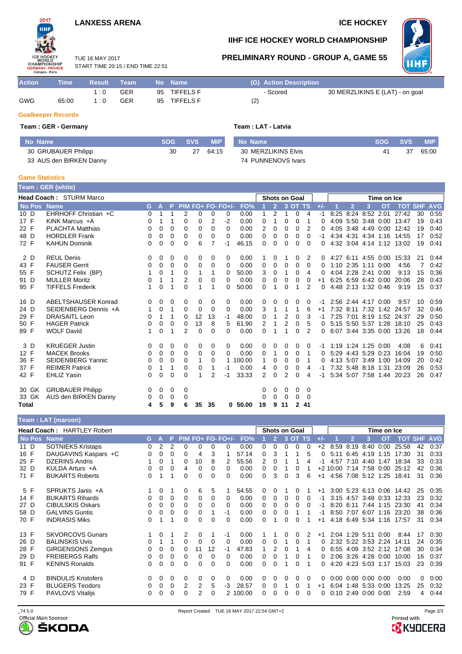# **LANXESS ARENA ICE HOCKEY**

START TIME 20:15 / END TIME 22:51

TUE 16 MAY 2017





## **IIHF ICE HOCKEY WORLD CHAMPIONSHIP**

**PRELIMINARY ROUND - GROUP A, GAME 55**



| <b>Action</b> | <b>Time</b> ' | Result    | Team       |    | No Name \        |     | (G) Action Description |                                 |
|---------------|---------------|-----------|------------|----|------------------|-----|------------------------|---------------------------------|
|               |               | ∣∴∩       | <b>GER</b> |    | 95 TIFFELS F     |     | - Scored               | 30 MERZLIKINS E (LAT) - on goal |
| <b>GWG</b>    | 65:00         | $\cdot$ 0 | GER        | 95 | <b>TIFFELS F</b> | (2) |                        |                                 |

### **Goalkeeper Records**

### **Team : GER - Germany Team : LAT - Latvia**

| No Name                 |    | SOG SVS | <b>MIP</b> | l No Name           |    | SOG SVS | <b>MIP</b> |
|-------------------------|----|---------|------------|---------------------|----|---------|------------|
| 30 GRUBAUER Philipp     | 30 | 27      | 64:15      | 30 MERZLIKINS Elvis | 41 | 37      | 65:00      |
| 33 AUS den BIRKEN Danny |    |         |            | 74 PUNNENOVS Ivars  |    |         |            |

#### **Game Statistics**

| <b>Feam:GER (white)</b> |                                                        |    |          |   |          |    |          |                   |        |          |                |                |              |          |       |      |             |                     |                     |                             |    |      |
|-------------------------|--------------------------------------------------------|----|----------|---|----------|----|----------|-------------------|--------|----------|----------------|----------------|--------------|----------|-------|------|-------------|---------------------|---------------------|-----------------------------|----|------|
|                         | <b>Head Coach: STURM Marco</b><br><b>Shots on Goal</b> |    |          |   |          |    |          |                   |        |          |                |                |              |          |       |      | Time on Ice |                     |                     |                             |    |      |
| No Pos Name             |                                                        | G. | A        | P |          |    |          | PIM FO+ FO- FO+/- | FO%    |          | $\overline{2}$ |                | 3 OT TS      |          | $+/-$ |      | 2           | 3                   | <b>OT</b>           | <b>TOT SHF AVG</b>          |    |      |
| 10 D                    | EHRHOFF Christian +C                                   | 0  |          |   | 2        | 0  | 0        | 0                 | 0.00   |          | $\overline{2}$ | 1              | 0            | 4        | -1    | 8:25 |             | 8:24 8:52 2:01      |                     | 27:42                       | 30 | 0:55 |
| 17 F                    | KINK Marcus +A                                         | 0  |          |   | 0        | 0  | 2        | $-2$              | 0.00   | 0        | 1              | 0              | 0            |          | 0     |      |             |                     |                     | 4:09 5:50 3:48 0:00 13:47   | 19 | 0:43 |
| 22 F                    | <b>PLACHTA Matthias</b>                                | 0  | 0        | 0 | 0        | 0  | $\Omega$ | 0                 | 0.00   | 2        | 0              | 0              | 0            | 2        | 0     |      |             |                     | 4:05 3:48 4:49 0:00 | 12:42                       | 19 | 0:40 |
| 48 D                    | <b>HORDLER Frank</b>                                   | 0  | 0        | 0 | 0        | 0  | $\Omega$ | 0                 | 0.00   | 0        | 0              | 0              | 0            | 0        | -1    |      |             |                     |                     | 4:34 4:31 4:34 1:16 14:55   | 17 | 0:52 |
| 72 F                    | <b>KAHUN Dominik</b>                                   | 0  | 0        | 0 | 0        | 6  |          | -1                | 46.15  | 0        | 0              | 0              | 0            | 0        | 0     |      |             |                     |                     | 4:32 3:04 4:14 1:12 13:02   | 19 | 0:41 |
| 2 D                     | <b>REUL Denis</b>                                      | 0  | 0        | 0 | 0        | 0  | 0        | 0                 | 0.00   |          | 0              |                | 0            | 2        |       |      |             |                     |                     | 0 4:27 6:11 4:55 0:00 15:33 | 21 | 0:44 |
| 43 F                    | <b>FAUSER Gerrit</b>                                   | 0  | 0        | 0 | 0        | 0  | 0        | 0                 | 0.00   | 0        | 0              | 0              | 0            | $\Omega$ | 0     |      |             | 1:10 2:35 1:11 0:00 |                     | 4:56                        |    | 0:42 |
| 55 F                    | SCHUTZ Felix (BP)                                      |    | 0        | 1 | $\Omega$ | 1  | 1        | 0                 | 50.00  | 3        | 0              | 1              | 0            | 4        | 0     |      |             | 4:04 2:28 2:41 0:00 |                     | 9:13                        | 15 | 0:36 |
| 91 D                    | <b>MULLER Moritz</b>                                   | 0  | 1        |   | 2        | 0  | 0        | 0                 | 0.00   | 0        | 0              | 0              | 0            | 0        | $+1$  |      |             |                     | 6:25 6:59 6:42 0:00 | 20:06                       | 28 | 0:43 |
| 95 F                    | <b>TIFFELS Frederik</b>                                | 1  | $\Omega$ | 1 | 0        | 1  | 1        | 0                 | 50.00  | 0        | 1              | 0              | 1            | 2        | 0     |      |             | 4:48 2:13 1:32 0:46 |                     | 9:19                        | 15 | 0:37 |
| 16 D                    | ABELTSHAUSER Konrad                                    | 0  | 0        | 0 | 0        | 0  | 0        | 0                 | 0.00   | 0        | 0              | 0              | 0            | 0        | -1    |      |             | 2:56 2:44 4:17 0:00 |                     | 9.57                        | 10 | 0:59 |
| 24 D                    | SEIDENBERG Dennis +A                                   | 1  | 0        | 1 | 0        | 0  | $\Omega$ | $\Omega$          | 0.00   | 3        | 1              | 1              | 1            | 6        | $+1$  |      |             |                     |                     | 7:32 8:11 7:32 1:42 24:57   | 32 | 0:46 |
| 29 F                    | <b>DRAISAITL Leon</b>                                  | 0  | 1        | 1 | 0        | 12 | 13       | -1                | 48.00  | 0        |                | 2              | 0            | 3        | -1    |      |             |                     |                     | 7:25 7:01 8:19 1:52 24:37   | 29 | 0:50 |
| 50 F                    | <b>HAGER Patrick</b>                                   | 0  | 0        | 0 | 0        | 13 | 8        | 5                 | 61.90  | 2        |                | $\overline{2}$ | 0            | 5        | 0     |      |             |                     | 5:15 5:50 5:37 1:28 | 18:10                       | 25 | 0:43 |
| 89 F                    | <b>WOLF David</b>                                      | 1  | 0        |   | 2        | 0  | 0        | 0                 | 0.00   | $\Omega$ |                | 1              | 0            | 2        | 0     |      |             |                     |                     | 6:07 3:44 3:35 0:00 13:26   | 18 | 0:44 |
| 3 D                     | <b>KRUEGER Justin</b>                                  | 0  | 0        | 0 | 0        | 0  | 0        | 0                 | 0.00   | 0        | 0              | 0              | 0            | 0        | -1    |      |             | 1:19 1:24 1:25 0:00 |                     | 4:08                        | 6  | 0:41 |
| 12 F                    | <b>MACEK Brooks</b>                                    | 0  | 0        | 0 | 0        | 0  | 0        | 0                 | 0.00   | 0        | 1              | 0              | 0            | 1        | 0     |      |             | 5:29 4:43 5:29 0:23 |                     | 16:04                       | 19 | 0:50 |
| 36 F                    | <b>SEIDENBERG Yannic</b>                               | 0  | 0        | 0 | 0        | 1  | 0        |                   | 100.00 | 1        | 0              | 0              | 0            | 1        | 0     |      |             | 4:13 5:07 3:49 1:00 |                     | 14:09                       | 20 | 0:42 |
| 37 F                    | <b>REIMER Patrick</b>                                  | 0  | 1        | 1 | $\Omega$ | 0  | 1        | -1                | 0.00   | 4        | $\mathbf 0$    | 0              | 0            | 4        | -1    |      |             | 7:32 5:48 8:18 1:31 |                     | 23:09                       | 26 | 0:53 |
| 42 F                    | <b>EHLIZ Yasin</b>                                     | 0  | 0        | 0 | 0        | 1  | 2        | -1                | 33.33  | 2        | $\mathbf 0$    | 2              | 0            | 4        | $-1$  |      |             |                     |                     | 5:34 5:07 7:58 1:44 20:23   | 26 | 0:47 |
| 30 GK                   | <b>GRUBAUER Philipp</b>                                | 0  | 0        | 0 | 0        |    |          |                   |        | 0        | 0              | 0              | 0            | 0        |       |      |             |                     |                     |                             |    |      |
| 33 GK                   | AUS den BIRKEN Danny                                   | 0  | 0        | 0 | 0        |    |          |                   |        | 0        | 0              | 0              | 0            | $\Omega$ |       |      |             |                     |                     |                             |    |      |
| <b>Total</b>            |                                                        | 4  | 5        | 9 | 6        | 35 | 35       | 0                 | 50.00  | 19       | 9              | 11             | $\mathbf{2}$ | -41      |       |      |             |                     |                     |                             |    |      |

| Team: LAT (maroon) |                                   |          |             |          |   |    |          |                     |          |   |                |          |                      |          |       |            |                     |               |             |            |            |            |
|--------------------|-----------------------------------|----------|-------------|----------|---|----|----------|---------------------|----------|---|----------------|----------|----------------------|----------|-------|------------|---------------------|---------------|-------------|------------|------------|------------|
|                    | <b>Head Coach: HARTLEY Robert</b> |          |             |          |   |    |          |                     |          |   |                |          | <b>Shots on Goal</b> |          |       |            |                     |               | Time on Ice |            |            |            |
| No Pos Name        |                                   | G.       | А           | P        |   |    |          | $PIM FO+ FO- FO+/-$ | FO%      |   | $\overline{2}$ |          | 3 OT TS              |          | $+/-$ |            | $\overline{2}$      | 3             | <b>OT</b>   | <b>TOT</b> | <b>SHF</b> | <b>AVG</b> |
| 11 D               | <b>SOTNIEKS Kristaps</b>          | 0        | 2           | 2        | 0 | 0  | 0        | 0                   | 0.00     | 0 | 0              | 0        | 0                    | $\Omega$ | $+2$  | 8:59       | 8:19                | 8:40          | 0:00        | 25:58      | 42         | 0:37       |
| 16 F               | DAUGAVINS Kaspars +C              | $\Omega$ | 0           | $\Omega$ | 0 | 4  | 3        |                     | 57.14    | 0 | 3              |          |                      | 5        | 0     | 5:11       | 6:45                | 4:19          | 1:15        | 17:30      | 31         | 0:33       |
| 25 F               | <b>DZERINS Andris</b>             |          | $\Omega$    |          | 0 | 10 | 8        | 2                   | 55.56    | 2 | 0              |          |                      |          |       | 4:57       | 7:10                | 4:40          | 1:47        | 18:34      | 33         | 0:33       |
| 32 D               | KULDA Arturs +A                   | 0        | $\mathbf 0$ | 0        | 4 | 0  | $\Omega$ | 0                   | 0.00     | 0 | 0              |          | 0                    |          |       | $+2$ 10:00 | 7:14 7:58 0:00      |               |             | 25:12      | 42         | 0:36       |
| 71 F               | <b>BUKARTS Roberts</b>            | 0        |             |          | 0 | 0  | 0        | 0                   | 0.00     | 0 | 3              | $\Omega$ | 3                    | 6        | $+1$  | 4:56       | 7:08 5:12           |               | 1:25        | 18:41      | 31         | 0:36       |
| 5 F                | SPRUKTS Janis +A                  |          | 0           |          | 0 | 6  | 5        |                     | 54.55    | 0 | 0              |          | 0                    |          | $+1$  |            | 3:00 5:23 6:13 0:06 |               |             | 14:42      | 25         | 0:35       |
| 14 F               | <b>BUKARTS Rihards</b>            | 0        | $\mathbf 0$ | 0        | 0 | 0  | 0        | 0                   | 0.00     | 0 | 0              | 0        | 0                    | 0        | -1    |            | $3:15$ 4:57         | 3:48 0:33     |             | 12:33      | 23         | 0:32       |
| 27 D               | <b>CIBULSKIS Oskars</b>           | 0        | 0           | $\Omega$ | 0 | 0  | 0        | 0                   | 0.00     | 0 | 0              | 0        | 0                    | 0        | -1    |            | $8:20$ 6:11         | 7.44          | 1:15        | 23:30      | 41         | 0:34       |
| 58 D               | <b>GALVINS Guntis</b>             | 0        | 0           | 0        | 0 | 0  |          | -1                  | 0.00     | 0 | 0              | 0        |                      |          | -1    | 8:50       | 7:07                | 6:07          | 1:16        | 23:20      | 38         | 0:36       |
| 70 F               | <b>INDRASIS Miks</b>              | 0        |             |          | 0 | 0  | 0        | $\Omega$            | 0.00     | 0 |                | $\Omega$ | 0                    |          | $+1$  |            | 4:18 6:49           | 5:34          | 1:16        | 17:57      | 31         | 0:34       |
| 13 F               | <b>SKVORCOVS Gunars</b>           |          | 0           |          | 2 | 0  |          | -1                  | 0.00     |   |                |          | 0                    |          | $+1$  |            | 2:04 1:29           | 5:11          | 0:00        | 8:44       | 17         | 0:30       |
| 26 D               | <b>BALINSKIS Uvis</b>             | 0        |             |          | 0 | 0  | 0        | 0                   | 0.00     | 0 | 0              |          | 0                    |          | 0     |            | 2:32 5:22 3:53      |               | 2:24        | 14:11      | 24         | 0:35       |
| 28 F               | <b>GIRGENSONS Zemgus</b>          | 0        | 0           | 0        | 0 | 11 | 12       | -1                  | 47.83    |   | 2              | 0        |                      | 4        | 0     | 6:55       | 4:09                | 3:52 2:12     |             | 17:08      | 30         | 0:34       |
| 29 D               | <b>FREIBERGS Ralfs</b>            | 0        | 0           | 0        | 0 | 0  | 0        | 0                   | 0.00     | 0 | 0              |          | 0                    |          | 0     |            | 2:06 3:26           | 4:28 0:00     |             | 10:00      | 16         | 0:37       |
| 91 F               | <b>KENINS Ronalds</b>             | 0        | 0           | 0        | 0 | 0  | 0        | 0                   | 0.00     | 0 | 0              |          | 0                    |          | 0     | 4:20       | 4:23 5:03           |               | 1:17        | 15:03      | 23         | 0:39       |
| 4 D                | <b>BINDULIS Kristofers</b>        | 0        | 0           | 0        | 0 | 0  | $\Omega$ | 0                   | 0.00     | 0 | 0              | 0        | 0                    | 0        | 0     |            | $0:00$ $0:00$       | $0:00$ $0:00$ |             | 0:00       | $\Omega$   | 0:00       |
| 23 F               | <b>BLUGERS Teodors</b>            | 0        | 0           | 0        | 2 | 2  | 5        | -3                  | 28.57    | 0 | 0              |          | 0                    |          | $+1$  |            | 6:04 1:48           | 5:33          | 0:00        | 13:25      | 25         | 0:32       |
| 79 F               | <b>PAVLOVS Vitalijs</b>           | 0        | $\Omega$    | 0        | 0 | 2  | $\Omega$ |                     | 2 100.00 | 0 |                |          | ი                    | 0        | 0     | 0:10       | 2:49                | 0:00          | 0:00        | 2:59       | 4          | 0:44       |